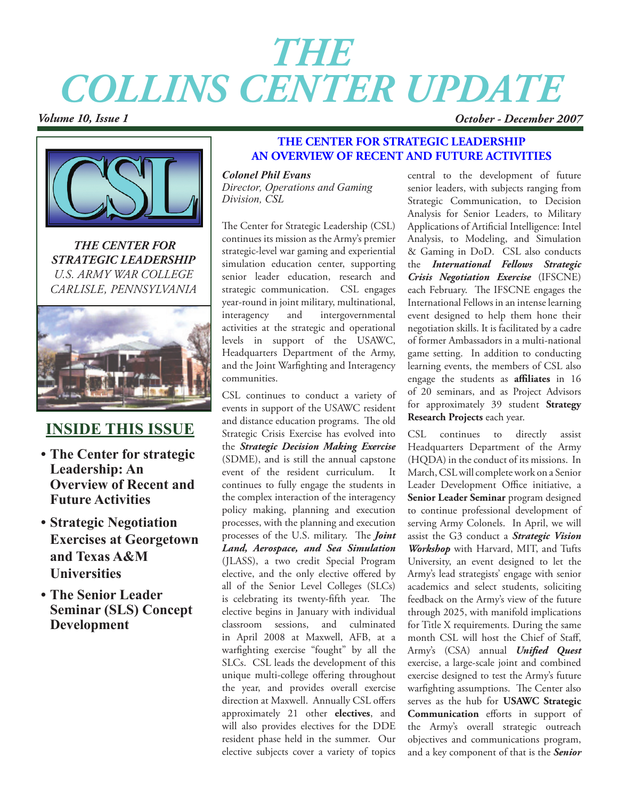# *THE COLLINS CENTER UPDATE*

*Volume 10, Issue 1 October - December 2007*



*THE CENTER FOR STRATEGIC LEADERSHIP U.S. ARMY WAR COLLEGE CARLISLE, PENNSYLVANIA*



# **INSIDE THIS ISSUE**

- **• The Center for strategic Leadership: An Overview of Recent and Future Activities**
- **• Strategic Negotiation Exercises at Georgetown and Texas A&M Universities**
- **• The Senior Leader Seminar (SLS) Concept Development**

# **THE CENTER FOR STRATEGIC LEADERSHIP AN OVERVIEW OF RECENT AND FUTURE ACTIVITIES**

*Colonel Phil Evans Director, Operations and Gaming Division, CSL*

The Center for Strategic Leadership (CSL) continues its mission as the Army's premier strategic-level war gaming and experiential simulation education center, supporting senior leader education, research and strategic communication. CSL engages year-round in joint military, multinational, interagency and intergovernmental activities at the strategic and operational levels in support of the USAWC, Headquarters Department of the Army, and the Joint Warfighting and Interagency communities.

CSL continues to conduct a variety of events in support of the USAWC resident and distance education programs. The old Strategic Crisis Exercise has evolved into the *Strategic Decision Making Exercise* (SDME), and is still the annual capstone event of the resident curriculum. It continues to fully engage the students in the complex interaction of the interagency policy making, planning and execution processes, with the planning and execution processes of the U.S. military. The *Joint Land, Aerospace, and Sea Simulation* (JLASS), a two credit Special Program elective, and the only elective offered by all of the Senior Level Colleges (SLCs) is celebrating its twenty-fifth year. The elective begins in January with individual classroom sessions, and culminated in April 2008 at Maxwell, AFB, at a warfighting exercise "fought" by all the SLCs. CSL leads the development of this unique multi-college offering throughout the year, and provides overall exercise direction at Maxwell. Annually CSL offers approximately 21 other **electives**, and will also provides electives for the DDE resident phase held in the summer. Our elective subjects cover a variety of topics central to the development of future senior leaders, with subjects ranging from Strategic Communication, to Decision Analysis for Senior Leaders, to Military Applications of Artificial Intelligence: Intel Analysis, to Modeling, and Simulation & Gaming in DoD. CSL also conducts the *International Fellows Strategic Crisis Negotiation Exercise* (IFSCNE) each February. The IFSCNE engages the International Fellows in an intense learning event designed to help them hone their negotiation skills. It is facilitated by a cadre of former Ambassadors in a multi-national game setting. In addition to conducting learning events, the members of CSL also engage the students as **affiliates** in 16 of 20 seminars, and as Project Advisors for approximately 39 student **Strategy Research Projects** each year.

CSL continues to directly assist Headquarters Department of the Army (HQDA) in the conduct of its missions. In March, CSL will complete work on a Senior Leader Development Office initiative, a **Senior Leader Seminar** program designed to continue professional development of serving Army Colonels. In April, we will assist the G3 conduct a *Strategic Vision Workshop* with Harvard, MIT, and Tufts University, an event designed to let the Army's lead strategists' engage with senior academics and select students, soliciting feedback on the Army's view of the future through 2025, with manifold implications for Title X requirements. During the same month CSL will host the Chief of Staff, Army's (CSA) annual *Unified Quest* exercise, a large-scale joint and combined exercise designed to test the Army's future warfighting assumptions. The Center also serves as the hub for **USAWC Strategic Communication** efforts in support of the Army's overall strategic outreach objectives and communications program, and a key component of that is the *Senior*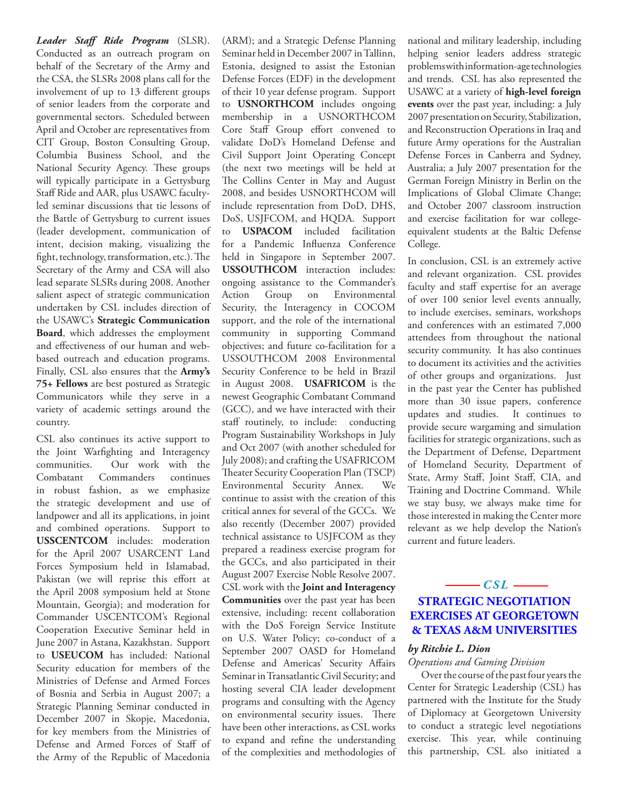*Leader Staff Ride Program* (SLSR). Conducted as an outreach program on behalf of the Secretary of the Army and the CSA, the SLSRs 2008 plans call for the involvement of up to 13 different groups of senior leaders from the corporate and governmental sectors. Scheduled between April and October are representatives from CIT Group, Boston Consulting Group, Columbia Business School, and the National Security Agency. These groups will typically participate in a Gettysburg Staff Ride and AAR, plus USAWC facultyled seminar discussions that tie lessons of the Battle of Gettysburg to current issues (leader development, communication of intent, decision making, visualizing the fight, technology, transformation, etc.). The Secretary of the Army and CSA will also lead separate SLSRs during 2008. Another salient aspect of strategic communication undertaken by CSL includes direction of the USAWC's **Strategic Communication Board**, which addresses the employment and effectiveness of our human and webbased outreach and education programs. Finally, CSL also ensures that the **Army's 75+ Fellows** are best postured as Strategic Communicators while they serve in a variety of academic settings around the country.

CSL also continues its active support to the Joint Warfighting and Interagency communities.Our work with the Combatant Commanders continues in robust fashion, as we emphasize the strategic development and use of landpower and all its applications, in joint and combined operations. Support to **USSCENTCOM** includes: moderation for the April 2007 USARCENT Land Forces Symposium held in Islamabad, Pakistan (we will reprise this effort at the April 2008 symposium held at Stone Mountain, Georgia); and moderation for Commander USCENTCOM's Regional Cooperation Executive Seminar held in June 2007 in Astana, Kazakhstan. Support to **USEUCOM** has included: National Security education for members of the Ministries of Defense and Armed Forces of Bosnia and Serbia in August 2007; a Strategic Planning Seminar conducted in December 2007 in Skopje, Macedonia, for key members from the Ministries of Defense and Armed Forces of Staff of the Army of the Republic of Macedonia

(ARM); and a Strategic Defense Planning Seminar held in December 2007 in Tallinn, Estonia, designed to assist the Estonian Defense Forces (EDF) in the development of their 10 year defense program. Support to **USNORTHCOM** includes ongoing membership in a USNORTHCOM Core Staff Group effort convened to validate DoD's Homeland Defense and Civil Support Joint Operating Concept (the next two meetings will be held at The Collins Center in May and August 2008, and besides USNORTHCOM will include representation from DoD, DHS, DoS, USJFCOM, and HQDA. Support to **USPACOM** included facilitation for a Pandemic Influenza Conference held in Singapore in September 2007. **USSOUTHCOM** interaction includes: ongoing assistance to the Commander's Action Group on Environmental Security, the Interagency in COCOM support, and the role of the international community in supporting Command objectives; and future co-facilitation for a USSOUTHCOM 2008 Environmental Security Conference to be held in Brazil in August 2008. **USAFRICOM** is the newest Geographic Combatant Command (GCC), and we have interacted with their staff routinely, to include: conducting Program Sustainability Workshops in July and Oct 2007 (with another scheduled for July 2008); and crafting the USAFRICOM Theater Security Cooperation Plan (TSCP) Environmental Security Annex. We continue to assist with the creation of this critical annex for several of the GCCs. We also recently (December 2007) provided technical assistance to USJFCOM as they prepared a readiness exercise program for the GCCs, and also participated in their August 2007 Exercise Noble Resolve 2007. CSL work with the **Joint and Interagency Communities** over the past year has been extensive, including: recent collaboration with the DoS Foreign Service Institute on U.S. Water Policy; co-conduct of a September 2007 OASD for Homeland Defense and Americas' Security Affairs Seminar in Transatlantic Civil Security; and hosting several CIA leader development programs and consulting with the Agency on environmental security issues. There have been other interactions, as CSL works to expand and refine the understanding of the complexities and methodologies of national and military leadership, including helping senior leaders address strategic problems with information-age technologies and trends. CSL has also represented the USAWC at a variety of **high-level foreign events** over the past year, including: a July 2007 presentation on Security, Stabilization, and Reconstruction Operations in Iraq and future Army operations for the Australian Defense Forces in Canberra and Sydney, Australia; a July 2007 presentation for the German Foreign Ministry in Berlin on the Implications of Global Climate Change; and October 2007 classroom instruction and exercise facilitation for war collegeequivalent students at the Baltic Defense College.

In conclusion, CSL is an extremely active and relevant organization. CSL provides faculty and staff expertise for an average of over 100 senior level events annually, to include exercises, seminars, workshops and conferences with an estimated 7,000 attendees from throughout the national security community. It has also continues to document its activities and the activities of other groups and organizations. Just in the past year the Center has published more than 30 issue papers, conference updates and studies. It continues to provide secure wargaming and simulation facilities for strategic organizations, such as the Department of Defense, Department of Homeland Security, Department of State, Army Staff, Joint Staff, CIA, and Training and Doctrine Command. While we stay busy, we always make time for those interested in making the Center more relevant as we help develop the Nation's current and future leaders.

## $-cst$  — **STRATEGIC NEGOTIATION EXERCISES AT GEORGETOWN & TEXAS A&M UNIVERSITIES**

#### *by Ritchie L. Dion*

### *Operations and Gaming Division*

Over the course of the past four years the Center for Strategic Leadership (CSL) has partnered with the Institute for the Study of Diplomacy at Georgetown University to conduct a strategic level negotiations exercise. This year, while continuing this partnership, CSL also initiated a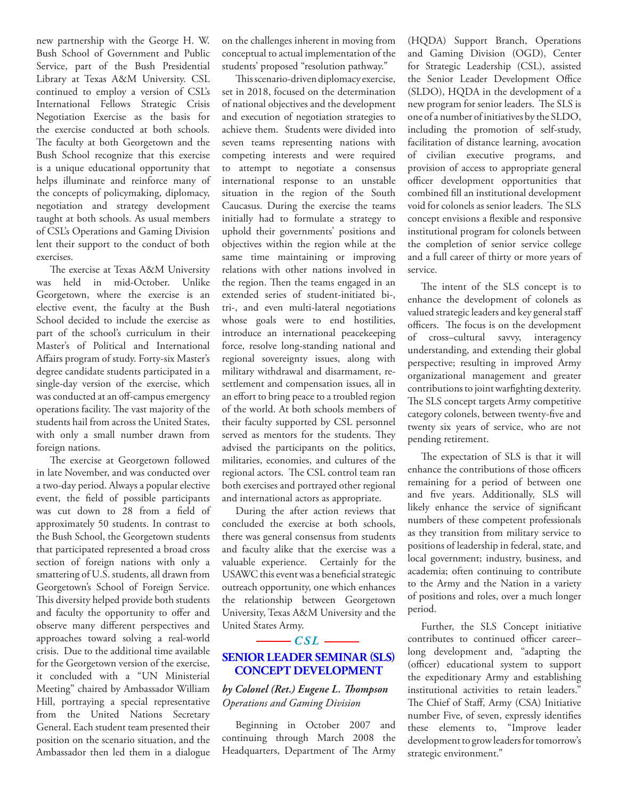new partnership with the George H. W. Bush School of Government and Public Service, part of the Bush Presidential Library at Texas A&M University. CSL continued to employ a version of CSL's International Fellows Strategic Crisis Negotiation Exercise as the basis for the exercise conducted at both schools. The faculty at both Georgetown and the Bush School recognize that this exercise is a unique educational opportunity that helps illuminate and reinforce many of the concepts of policymaking, diplomacy, negotiation and strategy development taught at both schools. As usual members of CSL's Operations and Gaming Division lent their support to the conduct of both exercises.

The exercise at Texas A&M University was held in mid-October. Unlike Georgetown, where the exercise is an elective event, the faculty at the Bush School decided to include the exercise as part of the school's curriculum in their Master's of Political and International Affairs program of study. Forty-six Master's degree candidate students participated in a single-day version of the exercise, which was conducted at an off-campus emergency operations facility. The vast majority of the students hail from across the United States, with only a small number drawn from foreign nations.

The exercise at Georgetown followed in late November, and was conducted over a two-day period. Always a popular elective event, the field of possible participants was cut down to 28 from a field of approximately 50 students. In contrast to the Bush School, the Georgetown students that participated represented a broad cross section of foreign nations with only a smattering of U.S. students, all drawn from Georgetown's School of Foreign Service. This diversity helped provide both students and faculty the opportunity to offer and observe many different perspectives and approaches toward solving a real-world crisis. Due to the additional time available for the Georgetown version of the exercise, it concluded with a "UN Ministerial Meeting" chaired by Ambassador William Hill, portraying a special representative from the United Nations Secretary General. Each student team presented their position on the scenario situation, and the Ambassador then led them in a dialogue

on the challenges inherent in moving from conceptual to actual implementation of the students' proposed "resolution pathway."

This scenario-driven diplomacy exercise, set in 2018, focused on the determination of national objectives and the development and execution of negotiation strategies to achieve them. Students were divided into seven teams representing nations with competing interests and were required to attempt to negotiate a consensus international response to an unstable situation in the region of the South Caucasus. During the exercise the teams initially had to formulate a strategy to uphold their governments' positions and objectives within the region while at the same time maintaining or improving relations with other nations involved in the region. Then the teams engaged in an extended series of student-initiated bi-, tri-, and even multi-lateral negotiations whose goals were to end hostilities, introduce an international peacekeeping force, resolve long-standing national and regional sovereignty issues, along with military withdrawal and disarmament, resettlement and compensation issues, all in an effort to bring peace to a troubled region of the world. At both schools members of their faculty supported by CSL personnel served as mentors for the students. They advised the participants on the politics, militaries, economies, and cultures of the regional actors. The CSL control team ran both exercises and portrayed other regional and international actors as appropriate.

During the after action reviews that concluded the exercise at both schools, there was general consensus from students and faculty alike that the exercise was a valuable experience. Certainly for the USAWC this event was a beneficial strategic outreach opportunity, one which enhances the relationship between Georgetown University, Texas A&M University and the United States Army.

#### $-cst$  —

#### **Senior Leader Seminar (SLS) Concept Development**

#### *by Colonel (Ret.) Eugene L. Thompson Operations and Gaming Division*

Beginning in October 2007 and continuing through March 2008 the Headquarters, Department of The Army (HQDA) Support Branch, Operations and Gaming Division (OGD), Center for Strategic Leadership (CSL), assisted the Senior Leader Development Office (SLDO), HQDA in the development of a new program for senior leaders. The SLS is one of a number of initiatives by the SLDO, including the promotion of self-study, facilitation of distance learning, avocation of civilian executive programs, and provision of access to appropriate general officer development opportunities that combined fill an institutional development void for colonels as senior leaders. The SLS concept envisions a flexible and responsive institutional program for colonels between the completion of senior service college and a full career of thirty or more years of service.

The intent of the SLS concept is to enhance the development of colonels as valued strategic leaders and key general staff officers. The focus is on the development of cross–cultural savvy, interagency understanding, and extending their global perspective; resulting in improved Army organizational management and greater contributions to joint warfighting dexterity. The SLS concept targets Army competitive category colonels, between twenty-five and twenty six years of service, who are not pending retirement.

The expectation of SLS is that it will enhance the contributions of those officers remaining for a period of between one and five years. Additionally, SLS will likely enhance the service of significant numbers of these competent professionals as they transition from military service to positions of leadership in federal, state, and local government; industry, business, and academia; often continuing to contribute to the Army and the Nation in a variety of positions and roles, over a much longer period.

Further, the SLS Concept initiative contributes to continued officer career– long development and, "adapting the (officer) educational system to support the expeditionary Army and establishing institutional activities to retain leaders." The Chief of Staff, Army (CSA) Initiative number Five, of seven, expressly identifies these elements to, "Improve leader development to grow leaders for tomorrow's strategic environment."